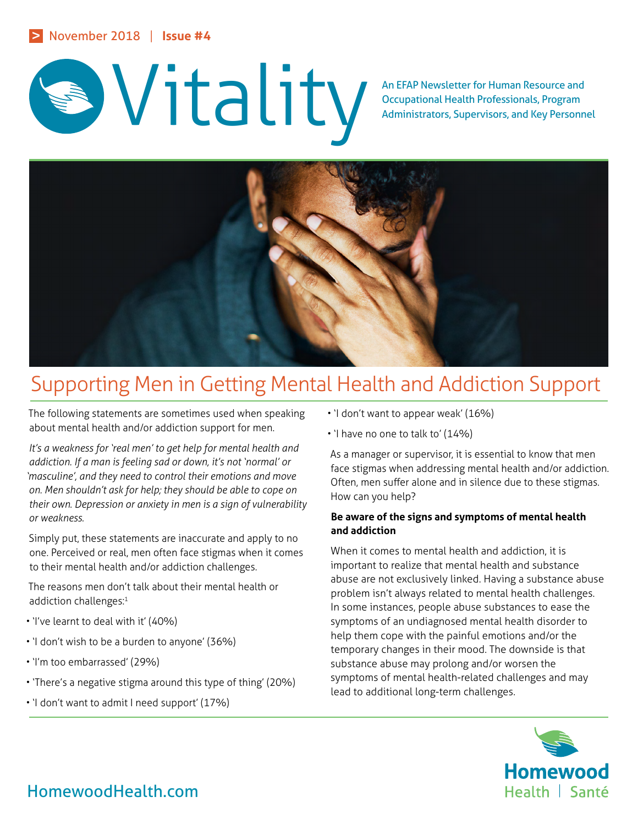

# An EFAP Newsletter for Human Resource and Occupational Health Professionals, Program<br>Administrators, Supervisors, and Key Personn

Occupational Health Professionals, Program Administrators, Supervisors, and Key Personnel



# Supporting Men in Getting Mental Health and Addiction Support

The following statements are sometimes used when speaking about mental health and/or addiction support for men.

*It's a weakness for 'real men' to get help for mental health and addiction. If a man is feeling sad or down, it's not 'normal' or 'masculine', and they need to control their emotions and move on. Men shouldn't ask for help; they should be able to cope on their own. Depression or anxiety in men is a sign of vulnerability or weakness.*

Simply put, these statements are inaccurate and apply to no one. Perceived or real, men often face stigmas when it comes to their mental health and/or addiction challenges.

The reasons men don't talk about their mental health or addiction challenges:<sup>1</sup>

- 'I've learnt to deal with it' (40%)
- 'I don't wish to be a burden to anyone' (36%)
- 'I'm too embarrassed' (29%)
- 'There's a negative stigma around this type of thing' (20%)
- 'I don't want to admit I need support' (17%)
- 'I don't want to appear weak' (16%)
- 'I have no one to talk to' (14%)

As a manager or supervisor, it is essential to know that men face stigmas when addressing mental health and/or addiction. Often, men suffer alone and in silence due to these stigmas. How can you help?

## **Be aware of the signs and symptoms of mental health and addiction**

When it comes to mental health and addiction, it is important to realize that mental health and substance abuse are not exclusively linked. Having a substance abuse problem isn't always related to mental health challenges. In some instances, people abuse substances to ease the symptoms of an undiagnosed mental health disorder to help them cope with the painful emotions and/or the temporary changes in their mood. The downside is that substance abuse may prolong and/or worsen the symptoms of mental health-related challenges and may lead to additional long-term challenges.



## HomewoodHealth.com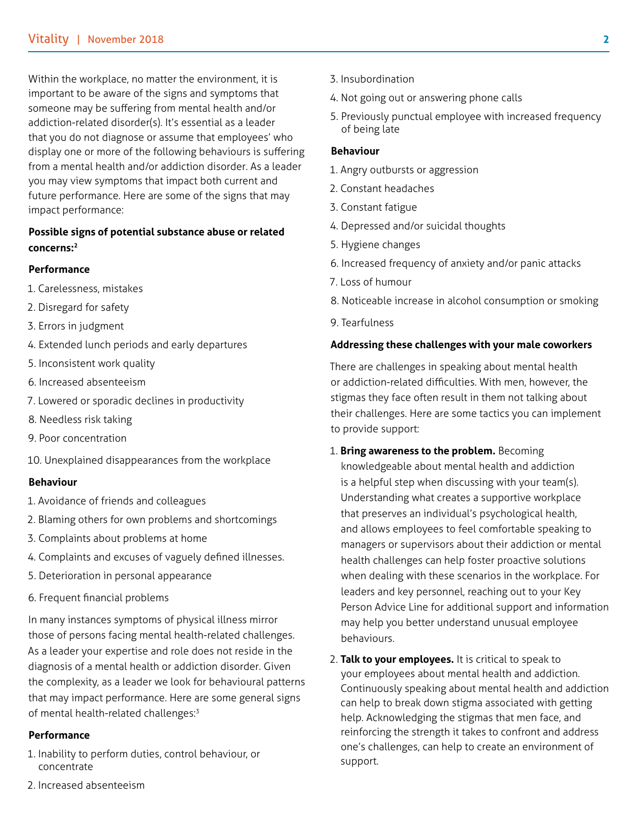Within the workplace, no matter the environment, it is important to be aware of the signs and symptoms that someone may be suffering from mental health and/or addiction-related disorder(s). It's essential as a leader that you do not diagnose or assume that employees' who display one or more of the following behaviours is suffering from a mental health and/or addiction disorder. As a leader you may view symptoms that impact both current and future performance. Here are some of the signs that may impact performance:

## **Possible signs of potential substance abuse or related concerns:2**

#### **Performance**

- 1. Carelessness, mistakes
- 2. Disregard for safety
- 3. Errors in judgment
- 4. Extended lunch periods and early departures
- 5. Inconsistent work quality
- 6. Increased absenteeism
- 7. Lowered or sporadic declines in productivity
- 8. Needless risk taking
- 9. Poor concentration
- 10. Unexplained disappearances from the workplace

#### **Behaviour**

- 1. Avoidance of friends and colleagues
- 2. Blaming others for own problems and shortcomings
- 3. Complaints about problems at home
- 4. Complaints and excuses of vaguely defined illnesses.
- 5. Deterioration in personal appearance
- 6. Frequent financial problems

In many instances symptoms of physical illness mirror those of persons facing mental health-related challenges. As a leader your expertise and role does not reside in the diagnosis of a mental health or addiction disorder. Given the complexity, as a leader we look for behavioural patterns that may impact performance. Here are some general signs of mental health-related challenges:<sup>3</sup>

#### **Performance**

- 1. Inability to perform duties, control behaviour, or concentrate
- 2. Increased absenteeism
- 3. Insubordination
- 4. Not going out or answering phone calls
- 5. Previously punctual employee with increased frequency of being late

#### **Behaviour**

- 1. Angry outbursts or aggression
- 2. Constant headaches
- 3. Constant fatigue
- 4. Depressed and/or suicidal thoughts
- 5. Hygiene changes
- 6. Increased frequency of anxiety and/or panic attacks
- 7. Loss of humour
- 8. Noticeable increase in alcohol consumption or smoking
- 9. Tearfulness

#### **Addressing these challenges with your male coworkers**

There are challenges in speaking about mental health or addiction-related difficulties. With men, however, the stigmas they face often result in them not talking about their challenges. Here are some tactics you can implement to provide support:

- 1. **Bring awareness to the problem.** Becoming knowledgeable about mental health and addiction is a helpful step when discussing with your team(s). Understanding what creates a supportive workplace that preserves an individual's psychological health, and allows employees to feel comfortable speaking to managers or supervisors about their addiction or mental health challenges can help foster proactive solutions when dealing with these scenarios in the workplace. For leaders and key personnel, reaching out to your Key Person Advice Line for additional support and information may help you better understand unusual employee behaviours.
- 2. **Talk to your employees.** It is critical to speak to your employees about mental health and addiction. Continuously speaking about mental health and addiction can help to break down stigma associated with getting help. Acknowledging the stigmas that men face, and reinforcing the strength it takes to confront and address one's challenges, can help to create an environment of support.